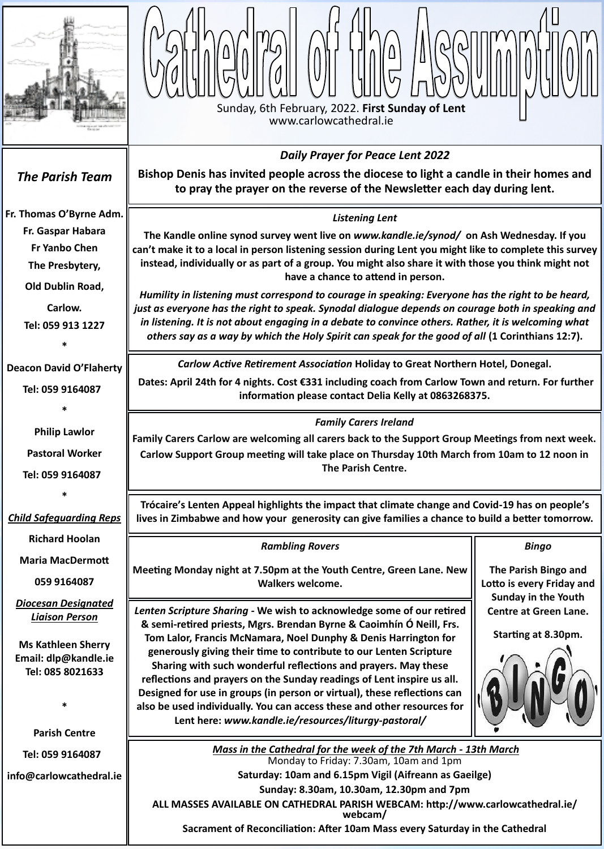*Mass in the Cathedral for the week of the 7th March - 13th March* Monday to Friday: 7.30am, 10am and 1pm

**Saturday: 10am and 6.15pm Vigil (Aifreann as Gaeilge)**

**Sunday: 8.30am, 10.30am, 12.30pm and 7pm**

**ALL MASSES AVAILABLE ON CATHEDRAL PARISH WEBCAM: [http://www.carlowcathedral.ie/](http://www.carlowcathedral.ie/webcam/) [webcam/](http://www.carlowcathedral.ie/webcam/)**

**Sacrament of Reconciliation: After 10am Mass every Saturday in the Cathedral**





**059 9164087**

*Diocesan Designated Liaison Person*

**Ms Kathleen Sherry Email: dlp@kandle.ie Tel: 085 8021633** 

**\***

**Parish Centre**

**Tel: 059 9164087** 

**info@carlowcathedral.ie**

n<br>ir<br>a *Listening Lent*  **The Kandle online synod survey went live on** *www.kandle.ie/synod/* **on Ash Wednesday. If you can't make it to a local in person listening session during Lent you might like to complete this survey instead, individually or as part of a group. You might also share it with those you think might not have a chance to attend in person.** *Humility in listening must correspond to courage in speaking: Everyone has the right to be heard, just as everyone has the right to speak. Synodal dialogue depends on courage both in speaking and in listening. It is not about engaging in a debate to convince others. Rather, it is welcoming what others say as a way by which the Holy Spirit can speak for the good of all (1 Corinthians 12:7). The Parish Team* **[Fr. Thomas O](http://www.carlowcathedral.ie/2017/09/fr-padraig-shelley-c-c/)'Byrne Adm. Fr. Gaspar Habara Fr Yanbo Chen The Presbytery, Old Dublin Road, Carlow. Tel: 059 913 1227 \* Deacon David O'Flaherty Tel: 059 9164087 \* Philip Lawlor Pastoral Worker Tel: 059 9164087 \*** *Child Safeguarding Reps* **Richard Hoolan Maria MacDermott** *Family Carers Ireland* **Family Carers Carlow are welcoming all carers back to the Support Group Meetings from next week. Carlow Support Group meeting will take place on Thursday 10th March from 10am to 12 noon in The Parish Centre.** *Daily Prayer for Peace Lent 2022* **Bishop Denis has invited people across the diocese to light a candle in their homes and to pray the prayer on the reverse of the Newsletter each day during lent. Trócaire's Lenten Appeal highlights the impact that climate change and Covid-19 has on people's lives in Zimbabwe and how your generosity can give families a chance to build a better tomorrow.** *Bingo* **The Parish Bingo and**  *Rambling Rovers* **Meeting Monday night at 7.50pm at the Youth Centre, Green Lane. New**  *Carlow Active Retirement Association* **Holiday to Great Northern Hotel, Donegal. Dates: April 24th for 4 nights. Cost €331 including coach from Carlow Town and return. For further information please contact Delia Kelly at 0863268375.**

> *Lenten Scripture Sharing -* **We wish to acknowledge some of our retired & semi-retired priests, Mgrs. Brendan Byrne & Caoimhín Ó Neill, Frs.**

**Tom Lalor, Francis McNamara, Noel Dunphy & Denis Harrington for generously giving their time to contribute to our Lenten Scripture Sharing with such wonderful reflections and prayers. May these reflections and prayers on the Sunday readings of Lent inspire us all. Designed for use in groups (in person or virtual), these reflections can also be used individually. You can access these and other resources for Lent here:** *www.kandle.ie/resources/liturgy-pastoral/*

**Lotto is every Friday and Sunday in the Youth Centre at Green Lane.**



**Walkers welcome.**